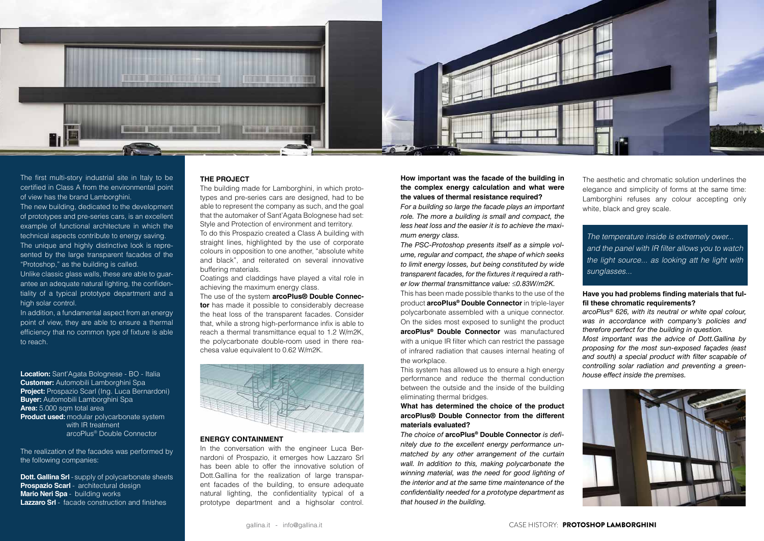

The first multi-story industrial site in Italy to be certified in Class A from the environmental point of view has the brand Lamborghini.

The new building, dedicated to the development of prototypes and pre-series cars, is an excellent example of functional architecture in which the technical aspects contribute to energy saving. The unique and highly distinctive look is represented by the large transparent facades of the "Protoshop," as the building is called.

Unlike classic glass walls, these are able to guarantee an adequate natural lighting, the confidentiality of a typical prototype department and a high solar control.

**Dott. Gallina Srl** - supply of polycarbonate sheets **Prospazio Scarl** - architectural design **Mario Neri Spa** - building works **Lazzaro Srl** - facade construction and finishes

In addition, a fundamental aspect from an energy point of view, they are able to ensure a thermal efficiency that no common type of fixture is able to reach.

**Location:** Sant'Agata Bolognese - BO - Italia **Customer:** Automobili Lamborghini Spa **Project:** Prospazio Scarl (Ing. Luca Bernardoni) **Buyer:** Automobili Lamborghini Spa **Area:** 5.000 sqm total area **Product used:** modular polycarbonate system with IR treatment arcoPlus® Double Connector

The realization of the facades was performed by the following companies:

## **THE PROJECT**

The building made for Lamborghini, in which prototypes and pre-series cars are designed, had to be able to represent the company as such, and the goal that the automaker of Sant'Agata Bolognese had set: Style and Protection of environment and territory.

To do this Prospazio created a Class A building with straight lines, highlighted by the use of corporate colours in opposition to one another, "absolute white and black", and reiterated on several innovative buffering materials.

Coatings and claddings have played a vital role in achieving the maximum energy class.

The aesthetic and chromatic solution underlines the elegance and simplicity of forms at the same time: Lamborghini refuses any colour accepting only white, black and grey scale.

The use of the system **arcoPlus® Double Connector** has made it possible to considerably decrease the heat loss of the transparent facades. Consider that, while a strong high-performance infix is able to reach a thermal transmittance equal to 1.2 W/m2K, the polycarbonate double-room used in there reachesa value equivalent to 0.62 W/m2K.



**How important was the facade of the building in the complex energy calculation and what were the values of thermal resistance required?**

*For a building so large the facade plays an important role. The more a building is small and compact, the less heat loss and the easier it is to achieve the maximum energy class.*

*The PSC-Protoshop presents itself as a simple volume, regular and compact, the shape of which seeks to limit energy losses, but being constituted by wide transparent facades, for the fixtures it required a rather low thermal transmittance value:* ≤*0.83W/m2K.*

This has been made possible thanks to the use of the product **arcoPlus® Double Connector** in triple-layer polycarbonate assembled with a unique connector. On the sides most exposed to sunlight the product

**arcoPlus® Double Connector** was manufactured with a unique IR filter which can restrict the passage of infrared radiation that causes internal heating of the workplace.

This system has allowed us to ensure a high energy performance and reduce the thermal conduction between the outside and the inside of the building eliminating thermal bridges.

## **What has determined the choice of the product arcoPlus® Double Connector from the different materials evaluated?**

*The choice of* **arcoPlus® Double Connector** *is definitely due to the excellent energy performance unmatched by any other arrangement of the curtain wall. In addition to this, making polycarbonate the winning material, was the need for good lighting of the interior and at the same time maintenance of the confidentiality needed for a prototype department as that housed in the building.*

## **Have you had problems finding materials that fulfil these chromatic requirements?**

*arcoPlus® 626, with its neutral or white opal colour, was in accordance with company's policies and therefore perfect for the building in question.*

*Most important was the advice of Dott.Gallina by proposing for the most sun-exposed façades (east and south) a special product with filter scapable of controlling solar radiation and preventing a greenhouse effect inside the premises.*



*The temperature inside is extremely ower...* and the panel with IR filter allows you to watch the light source... as looking att he light with *sunglasses...*

## **ENERGY CONTAINMENT**

In the conversation with the engineer Luca Bernardoni of Prospazio, it emerges how Lazzaro Srl has been able to offer the innovative solution of Dott.Gallina for the realization of large transparent facades of the building, to ensure adequate natural lighting, the confidentiality typical of a prototype department and a highsolar control.